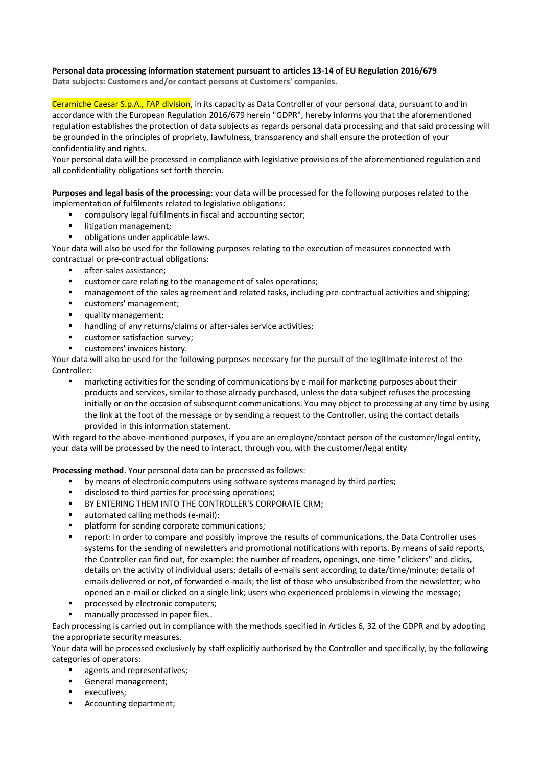## **Personal data processing information statement pursuant to articles 13-14 of EU Regulation 2016/679**

**Data subjects: Customers and/or contact persons at Customers' companies.**

Ceramiche Caesar S.p.A., FAP division, in its capacity as Data Controller of your personal data, pursuant to and in accordance with the European Regulation 2016/679 herein "GDPR", hereby informs you that the aforementioned regulation establishes the protection of data subjects as regards personal data processing and that said processing will be grounded in the principles of propriety, lawfulness, transparency and shall ensure the protection of your confidentiality and rights.

Your personal data will be processed in compliance with legislative provisions of the aforementioned regulation and all confidentiality obligations set forth therein.

**Purposes and legal basis of the processing**: your data will be processed for the following purposes related to the implementation of fulfilments related to legislative obligations:

- § compulsory legal fulfilments in fiscal and accounting sector;
- **■** litigation management;
- obligations under applicable laws.

Your data will also be used for the following purposes relating to the execution of measures connected with contractual or pre-contractual obligations:

- § after-sales assistance;
- customer care relating to the management of sales operations;
- management of the sales agreement and related tasks, including pre-contractual activities and shipping;
- customers' management;
- **•** quality management;
- handling of any returns/claims or after-sales service activities:
- customer satisfaction survey:
- customers' invoices history.

Your data will also be used for the following purposes necessary for the pursuit of the legitimate interest of the Controller:

■ marketing activities for the sending of communications by e-mail for marketing purposes about their products and services, similar to those already purchased, unless the data subject refuses the processing initially or on the occasion of subsequent communications. You may object to processing at any time by using the link at the foot of the message or by sending a request to the Controller, using the contact details provided in this information statement.

With regard to the above-mentioned purposes, if you are an employee/contact person of the customer/legal entity, your data will be processed by the need to interact, through you, with the customer/legal entity

**Processing method**. Your personal data can be processed as follows:

- by means of electronic computers using software systems managed by third parties;
- disclosed to third parties for processing operations;
- **BY ENTERING THEM INTO THE CONTROLLER'S CORPORATE CRM;**
- automated calling methods (e-mail):
- platform for sending corporate communications;
- report: In order to compare and possibly improve the results of communications, the Data Controller uses systems for the sending of newsletters and promotional notifications with reports. By means of said reports, the Controller can find out, for example: the number of readers, openings, one-time "clickers" and clicks, details on the activity of individual users; details of e-mails sent according to date/time/minute; details of emails delivered or not, of forwarded e-mails; the list of those who unsubscribed from the newsletter; who opened an e-mail or clicked on a single link; users who experienced problems in viewing the message;
- processed by electronic computers:
- manually processed in paper files..

Each processing is carried out in compliance with the methods specified in Articles 6, 32 of the GDPR and by adopting the appropriate security measures.

Your data will be processed exclusively by staff explicitly authorised by the Controller and specifically, by the following categories of operators:

- agents and representatives;
- § General management;
- executives;
- Accounting department;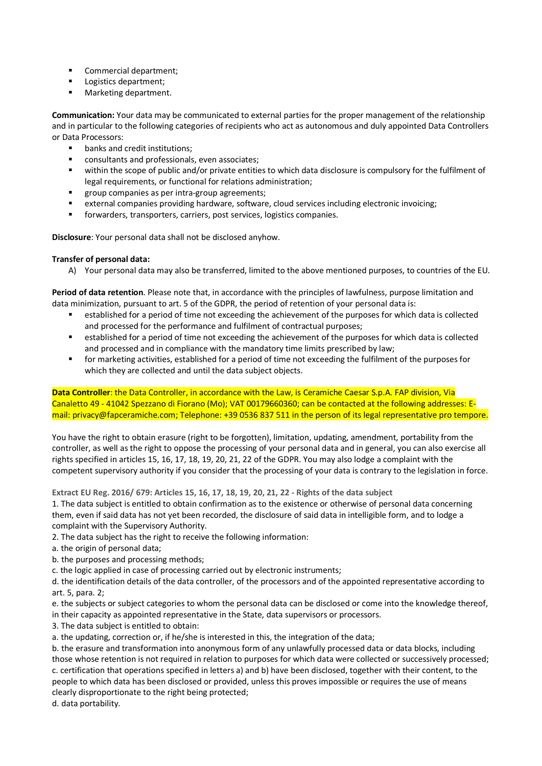- Commercial department;
- Logistics department;
- Marketing department.

**Communication:** Your data may be communicated to external parties for the proper management of the relationship and in particular to the following categories of recipients who act as autonomous and duly appointed Data Controllers or Data Processors:

- banks and credit institutions:
- consultants and professionals, even associates;
- § within the scope of public and/or private entities to which data disclosure is compulsory for the fulfilment of legal requirements, or functional for relations administration;
- group companies as per intra-group agreements;
- external companies providing hardware, software, cloud services including electronic invoicing;
- forwarders, transporters, carriers, post services, logistics companies.

**Disclosure**: Your personal data shall not be disclosed anyhow.

## **Transfer of personal data:**

A) Your personal data may also be transferred, limited to the above mentioned purposes, to countries of the EU.

**Period of data retention**. Please note that, in accordance with the principles of lawfulness, purpose limitation and data minimization, pursuant to art. 5 of the GDPR, the period of retention of your personal data is:

- established for a period of time not exceeding the achievement of the purposes for which data is collected and processed for the performance and fulfilment of contractual purposes;
- established for a period of time not exceeding the achievement of the purposes for which data is collected and processed and in compliance with the mandatory time limits prescribed by law;
- § for marketing activities, established for a period of time not exceeding the fulfilment of the purposes for which they are collected and until the data subject objects.

**Data Controller**: the Data Controller, in accordance with the Law, is Ceramiche Caesar S.p.A. FAP division, Via Canaletto 49 - 41042 Spezzano di Fiorano (Mo); VAT 00179660360; can be contacted at the following addresses: Email: privacy@fapceramiche.com; Telephone: +39 0536 837 511 in the person of its legal representative pro tempore.

You have the right to obtain erasure (right to be forgotten), limitation, updating, amendment, portability from the controller, as well as the right to oppose the processing of your personal data and in general, you can also exercise all rights specified in articles 15, 16, 17, 18, 19, 20, 21, 22 of the GDPR. You may also lodge a complaint with the competent supervisory authority if you consider that the processing of your data is contrary to the legislation in force.

**Extract EU Reg. 2016/ 679: Articles 15, 16, 17, 18, 19, 20, 21, 22 - Rights of the data subject**

1. The data subject is entitled to obtain confirmation as to the existence or otherwise of personal data concerning them, even if said data has not yet been recorded, the disclosure of said data in intelligible form, and to lodge a complaint with the Supervisory Authority.

2. The data subject has the right to receive the following information:

- a. the origin of personal data;
- b. the purposes and processing methods;
- c. the logic applied in case of processing carried out by electronic instruments;

d. the identification details of the data controller, of the processors and of the appointed representative according to art. 5, para. 2;

e. the subjects or subject categories to whom the personal data can be disclosed or come into the knowledge thereof, in their capacity as appointed representative in the State, data supervisors or processors.

3. The data subject is entitled to obtain:

a. the updating, correction or, if he/she is interested in this, the integration of the data;

b. the erasure and transformation into anonymous form of any unlawfully processed data or data blocks, including those whose retention is not required in relation to purposes for which data were collected or successively processed; c. certification that operations specified in letters a) and b) have been disclosed, together with their content, to the people to which data has been disclosed or provided, unless this proves impossible or requires the use of means clearly disproportionate to the right being protected;

d. data portability.